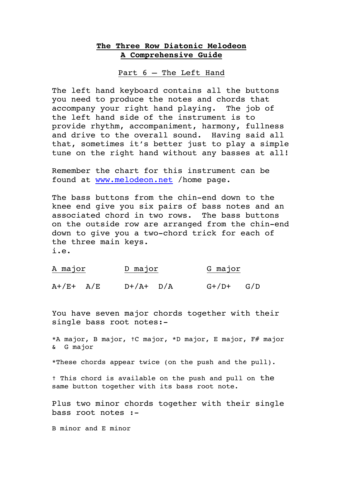## **The Three Row Diatonic Melodeon A Comprehensive Guide**

Part 6 – The Left Hand

The left hand keyboard contains all the buttons you need to produce the notes and chords that accompany your right hand playing. The job of the left hand side of the instrument is to provide rhythm, accompaniment, harmony, fullness and drive to the overall sound. Having said all that, sometimes it's better just to play a simple tune on the right hand without any basses at all!

Remember the chart for this instrument can be found at www.melodeon.net /home page.

The bass buttons from the chin-end down to the knee end give you six pairs of bass notes and an associated chord in two rows. The bass buttons on the outside row are arranged from the chin-end down to give you a two-chord trick for each of the three main keys. i.e.

| <u>A major</u> |  |               | D major |         | G major |  |
|----------------|--|---------------|---------|---------|---------|--|
| $A+ /E+ A/E$   |  | $D+/A+$ $D/A$ |         | $G+/D+$ | G/D     |  |

You have seven major chords together with their single bass root notes:-

\*A major, B major, †C major, \*D major, E major, F# major & G major

\*These chords appear twice (on the push and the pull).

† This chord is available on the push and pull on the same button together with its bass root note.

Plus two minor chords together with their single bass root notes :-

B minor and E minor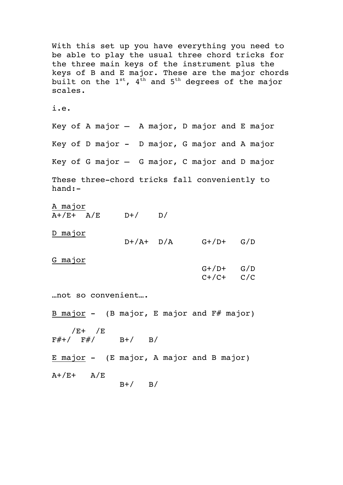With this set up you have everything you need to be able to play the usual three chord tricks for the three main keys of the instrument plus the keys of B and E major. These are the major chords built on the  $1^{st}$ ,  $4^{th}$  and  $5^{th}$  degrees of the major scales. i.e. Key of A major – A major, D major and E major Key of D major - D major, G major and A major Key of G major – G major, C major and D major These three-chord tricks fall conveniently to hand:- A major  $A+/E+ A/E$  D+/ D/ D major  $D+/A+$   $D/A$   $G+/D+$   $G/D$ G major  $G+/D+$   $G/D$  $C+ / C+$   $C/C$ …not so convenient…. B major  $-$  (B major, E major and  $F#$  major) /E+ /E  $F#+/- F#/-$  B+/ B/ E major - (E major, A major and B major)  $A+ /E+$   $A/E$  $B+/ B/$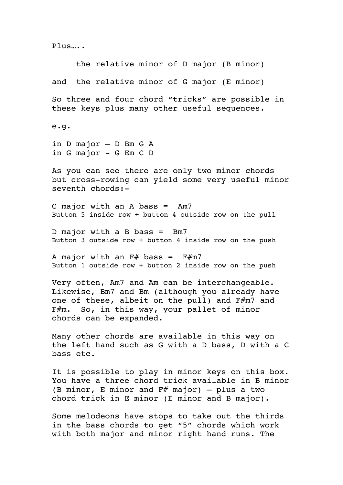Plus…..

 the relative minor of D major (B minor) and the relative minor of G major (E minor) So three and four chord "tricks" are possible in these keys plus many other useful sequences. e.g. in D major – D Bm G A in G major - G Em C D As you can see there are only two minor chords but cross-rowing can yield some very useful minor seventh chords:- C major with an A bass = Am7 Button 5 inside row + button 4 outside row on the pull D major with a B bass = Bm7 Button 3 outside row + button 4 inside row on the push A major with an  $F#$  bass =  $F#m7$ Button 1 outside row + button 2 inside row on the push Very often, Am7 and Am can be interchangeable. Likewise, Bm7 and Bm (although you already have one of these, albeit on the pull) and F#m7 and F#m. So, in this way, your pallet of minor chords can be expanded. Many other chords are available in this way on the left hand such as G with a D bass, D with a C bass etc. It is possible to play in minor keys on this box. You have a three chord trick available in B minor (B minor, E minor and  $F#$  major) – plus a two chord trick in E minor (E minor and B major). Some melodeons have stops to take out the thirds in the bass chords to get "5" chords which work with both major and minor right hand runs. The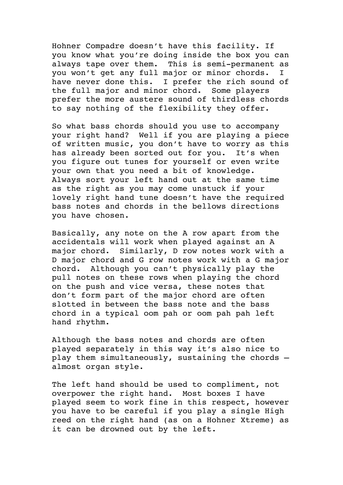Hohner Compadre doesn't have this facility. If you know what you're doing inside the box you can always tape over them. This is semi-permanent as you won't get any full major or minor chords. I have never done this. I prefer the rich sound of the full major and minor chord. Some players prefer the more austere sound of thirdless chords to say nothing of the flexibility they offer.

So what bass chords should you use to accompany your right hand? Well if you are playing a piece of written music, you don't have to worry as this has already been sorted out for you. It's when you figure out tunes for yourself or even write your own that you need a bit of knowledge. Always sort your left hand out at the same time as the right as you may come unstuck if your lovely right hand tune doesn't have the required bass notes and chords in the bellows directions you have chosen.

Basically, any note on the A row apart from the accidentals will work when played against an A major chord. Similarly, D row notes work with a D major chord and G row notes work with a G major chord. Although you can't physically play the pull notes on these rows when playing the chord on the push and vice versa, these notes that don't form part of the major chord are often slotted in between the bass note and the bass chord in a typical oom pah or oom pah pah left hand rhythm.

Although the bass notes and chords are often played separately in this way it's also nice to play them simultaneously, sustaining the chords – almost organ style.

The left hand should be used to compliment, not overpower the right hand. Most boxes I have played seem to work fine in this respect, however you have to be careful if you play a single High reed on the right hand (as on a Hohner Xtreme) as it can be drowned out by the left.